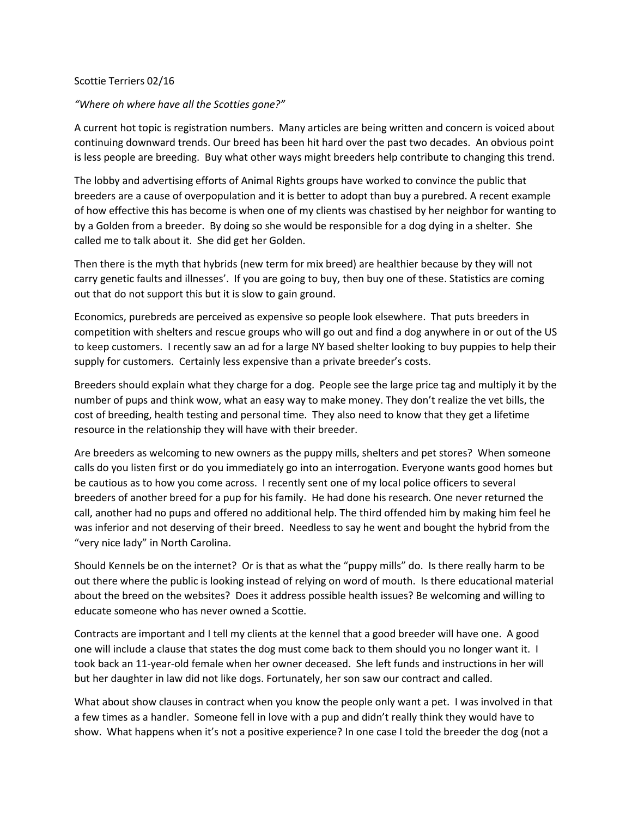## Scottie Terriers 02/16

## *"Where oh where have all the Scotties gone?"*

A current hot topic is registration numbers. Many articles are being written and concern is voiced about continuing downward trends. Our breed has been hit hard over the past two decades. An obvious point is less people are breeding. Buy what other ways might breeders help contribute to changing this trend.

The lobby and advertising efforts of Animal Rights groups have worked to convince the public that breeders are a cause of overpopulation and it is better to adopt than buy a purebred. A recent example of how effective this has become is when one of my clients was chastised by her neighbor for wanting to by a Golden from a breeder. By doing so she would be responsible for a dog dying in a shelter. She called me to talk about it. She did get her Golden.

Then there is the myth that hybrids (new term for mix breed) are healthier because by they will not carry genetic faults and illnesses'. If you are going to buy, then buy one of these. Statistics are coming out that do not support this but it is slow to gain ground.

Economics, purebreds are perceived as expensive so people look elsewhere. That puts breeders in competition with shelters and rescue groups who will go out and find a dog anywhere in or out of the US to keep customers. I recently saw an ad for a large NY based shelter looking to buy puppies to help their supply for customers. Certainly less expensive than a private breeder's costs.

Breeders should explain what they charge for a dog. People see the large price tag and multiply it by the number of pups and think wow, what an easy way to make money. They don't realize the vet bills, the cost of breeding, health testing and personal time. They also need to know that they get a lifetime resource in the relationship they will have with their breeder.

Are breeders as welcoming to new owners as the puppy mills, shelters and pet stores? When someone calls do you listen first or do you immediately go into an interrogation. Everyone wants good homes but be cautious as to how you come across. I recently sent one of my local police officers to several breeders of another breed for a pup for his family. He had done his research. One never returned the call, another had no pups and offered no additional help. The third offended him by making him feel he was inferior and not deserving of their breed. Needless to say he went and bought the hybrid from the "very nice lady" in North Carolina.

Should Kennels be on the internet? Or is that as what the "puppy mills" do. Is there really harm to be out there where the public is looking instead of relying on word of mouth. Is there educational material about the breed on the websites? Does it address possible health issues? Be welcoming and willing to educate someone who has never owned a Scottie.

Contracts are important and I tell my clients at the kennel that a good breeder will have one. A good one will include a clause that states the dog must come back to them should you no longer want it. I took back an 11-year-old female when her owner deceased. She left funds and instructions in her will but her daughter in law did not like dogs. Fortunately, her son saw our contract and called.

What about show clauses in contract when you know the people only want a pet. I was involved in that a few times as a handler. Someone fell in love with a pup and didn't really think they would have to show. What happens when it's not a positive experience? In one case I told the breeder the dog (not a